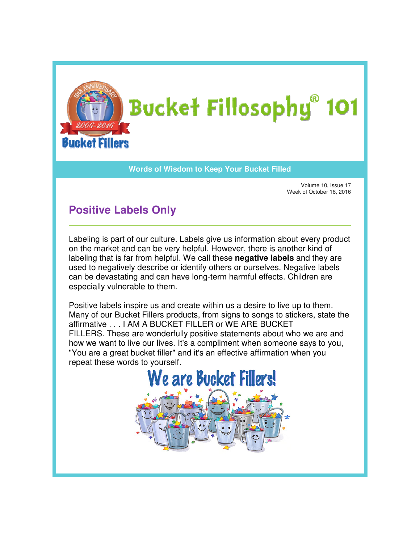

## **Words of Wisdom to Keep Your Bucket Filled Wisdom**

Volume 10, Issue 17 Week of October 16, 2016

## **Positive Labels Only**

Labeling is part of our culture. Labels give us information about every product Labeling is part of our culture. Labels give us information about every pro<br>on the market and can be very helpful. However, there is another kind of labeling that is far from helpful. We call these **negative labels** and they are used to negatively describe or identify others or ourselves. Negative labels used to negatively describe or identify others or ourselves. Negative label<br>can be devastating and can have long-term harmful effects. Children are especially vulnerable to them.

Positive labels inspire us and create within us a desire to live up to them. Many of our Bucket Fillers products, from signs to songs to stickers, state the affirmative . . . I AM A BUCKET FILLER or WE ARE BUCKET FILLERS. These are wonderfully positive statements about who we are and FILLERS. These are wonderfully positive statements about who we are and<br>how we want to live our lives. It's a compliment when someone says to you, "You are a great bucket filler" and it's an effective affirmation when you<br>repeat these words to yourself. repeat these words to yourself ially vulnerable to them.<br>/e labels inspire us and create within us a desire to live up to them.<br>of our Bucket Fillers products, from signs to songs to stickers, state the ave long-term harmful effects. Children are<br>create within us a desire to live up to them.<br>ducts, from signs to songs to stickers, state<br>T FILLER or WE ARE BUCKET<br>ully positive statements about who we are a<br>It's a complimen

e are Bucket Fillers!